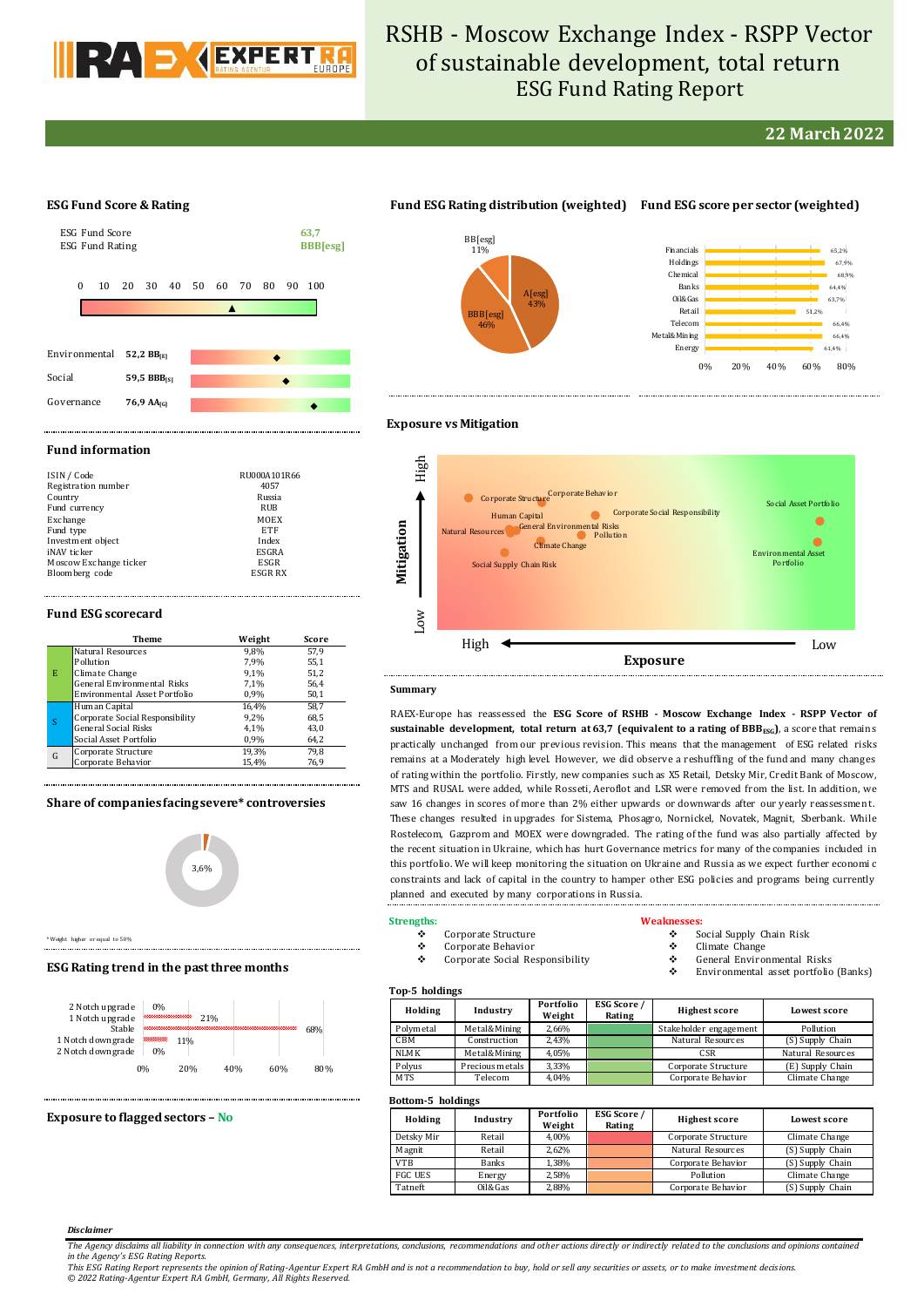

# RSHB - Moscow Exchange Index - RSPP Vector of sustainable development, total return ESG Fund Rating Report

### **22 March 2022**

### **ESG Fund Score & Rating**



## **Fund ESG Rating distribution (weighted) Fund ESG score per sector (weighted)**





### **Exposure vs Mitigation**

High

#### **Fund information**

| ISIN / Code            | RU000A101R66 |
|------------------------|--------------|
| Registration number    | 4057         |
| Country                | Russia       |
| Fund currency          | RUB          |
| Exchange               | MOEX         |
| Fund type              | ETF          |
| Investment object      | Index        |
| iNAV ticker            | ESGRA        |
| Moscow Exchange ticker | ESGR         |
| Bloomberg code         | ESGR RX      |

#### **Fund ESG scorecard**

|   | Theme                              | Weight | Score |
|---|------------------------------------|--------|-------|
|   | Natural Resources                  | 9.8%   | 57.9  |
| E | Pollution                          | 7.9%   | 55,1  |
|   | Climate Change                     | 9.1%   | 51,2  |
|   | <b>General Environmental Risks</b> | 7.1%   | 56,4  |
|   | Environmental Asset Portfolio      | 0,9%   | 50,1  |
|   | Human Capital                      | 16,4%  | 58,7  |
|   | Corporate Social Responsibility    | 9.2%   | 68,5  |
|   | <b>General Social Risks</b>        | 4.1%   | 43,0  |
|   | Social Asset Portfolio             | 0,9%   | 64,2  |
| G | Corporate Structure                | 19,3%  | 79.8  |
|   | Corporate Behavior                 | 15,4%  | 76,9  |

### **Share of companies facing severe\* controversies**



\* Weight higher or equal to 50%

#### **ESG Rating trend in the past three months**



#### **Exposure to flagged sectors – No**

| Mitigation | High<br>$_{\rm Low}$ | Corporate Structure<br>Corporate Structure<br><b>Corporate Social Responsibility</b><br>Human Capital<br><b>General Environmental Risks</b><br>Natural Resources<br>Pollution<br><b>Climate Change</b><br>Social Supply Chain Risk | Social Asset Portfolio<br><b>Environmental Asset</b><br>Portfolio |  |
|------------|----------------------|------------------------------------------------------------------------------------------------------------------------------------------------------------------------------------------------------------------------------------|-------------------------------------------------------------------|--|
|            |                      | High<br><b>Exposure</b>                                                                                                                                                                                                            | Low                                                               |  |
|            | Summary              |                                                                                                                                                                                                                                    |                                                                   |  |

### RAEX-Europe has reassessed the **ESG Score of RSHB - Moscow Exchange Index - RSPP Vector of sustainable development, total return at 63,7 (equivalent to a rating of BBBESG)**, a score that remains practically unchanged from our previous revision. This means that the management of ESG related risks remains at a Moderately high level. However, we did observe a reshuffling of the fund and many changes of rating within the portfolio. Firstly, new companies such as X5 Retail, Detsky Mir, Credit Bank of Moscow, MTS and RUSAL were added, while Rosseti, Aeroflot and LSR were removed from the list. In addition, we saw 16 changes in scores of more than 2% either upwards or downwards after our yearly reassessment.

These changes resulted in upgrades for Sistema, Phosagro, Nornickel, Novatek, Magnit, Sberbank. While Rostelecom, Gazprom and MOEX were downgraded. The rating of the fund was also partially affected by the recent situation in Ukraine, which has hurt Governance metrics for many of the companies included in this portfolio. We will keep monitoring the situation on Ukraine and Russia as we expect further economi c constraints and lack of capital in the country to hamper other ESG policies and programs being currently planned and executed by many corporations in Russia.

#### **Strengths:**

#### Corporate Structure

- Corporate Behavior
- Corporate Social Responsibility

#### **Weaknesses:**

- Social Supply Chain Risk
- Climate Change
- General Environmental Risks
	- Environmental asset portfolio (Banks)

### **Top-5 holdings**

| Holding          | Industry        | Portfolio<br>Weight | <b>ESG Score</b> /<br>Rating | <b>Highest score</b>   | Lowest score      |  |  |
|------------------|-----------------|---------------------|------------------------------|------------------------|-------------------|--|--|
| Polymetal        | Metal&Mining    | 2,66%               |                              | Stakeholder engagement | Pollution         |  |  |
| CBM              | Construction    | 2.43%               |                              | Natural Resources      | (S) Supply Chain  |  |  |
| NLM <sub>K</sub> | Metal&Mining    | 4.05%               |                              | CSR                    | Natural Resources |  |  |
| Polyus           | Precious metals | 3,33%               |                              | Corporate Structure    | (E) Supply Chain  |  |  |
| <b>MTS</b>       | Telecom         | 4.04%               |                              | Corporate Behavior     | Climate Change    |  |  |

#### **Bottom-5 holdings**

| DUUUIII J HUIUIII2S |              |                     |                       |                      |                  |  |  |  |  |
|---------------------|--------------|---------------------|-----------------------|----------------------|------------------|--|--|--|--|
| Holding             | Industry     | Portfolio<br>Weight | ESG Score /<br>Rating | <b>Highest score</b> | Lowest score     |  |  |  |  |
| Detsky Mir          | Retail       | 4.00%               |                       | Corporate Structure  | Climate Change   |  |  |  |  |
| Magnit              | Retail       | 2.62%               |                       | Natural Resources    | (S) Supply Chain |  |  |  |  |
| <b>VTB</b>          | <b>Banks</b> | 1.38%               |                       | Corporate Behavior   | (S) Supply Chain |  |  |  |  |
| <b>FGC UES</b>      | Energy       | 2,58%               |                       | Pollution            | Climate Change   |  |  |  |  |
| Tatneft             | Oil&Gas      | 2,88%               |                       | Corporate Behavior   | (S) Supply Chain |  |  |  |  |

#### *Disclaimer*

*The Agency disclaims all liability in connection with any consequences, interpretations, conclusions, recommendations and other actions directly or indirectly related to the conclusions and opinions contained in the Agency's ESG Rating Reports.*

*This ESG Rating Report represents the opinion of Rating-Agentur Expert RA GmbH and is not a recommendation to buy, hold or sell any securities or assets, or to make investment decisions. © 2022 Rating-Agentur Expert RA GmbH, Germany, All Rights Reserved.*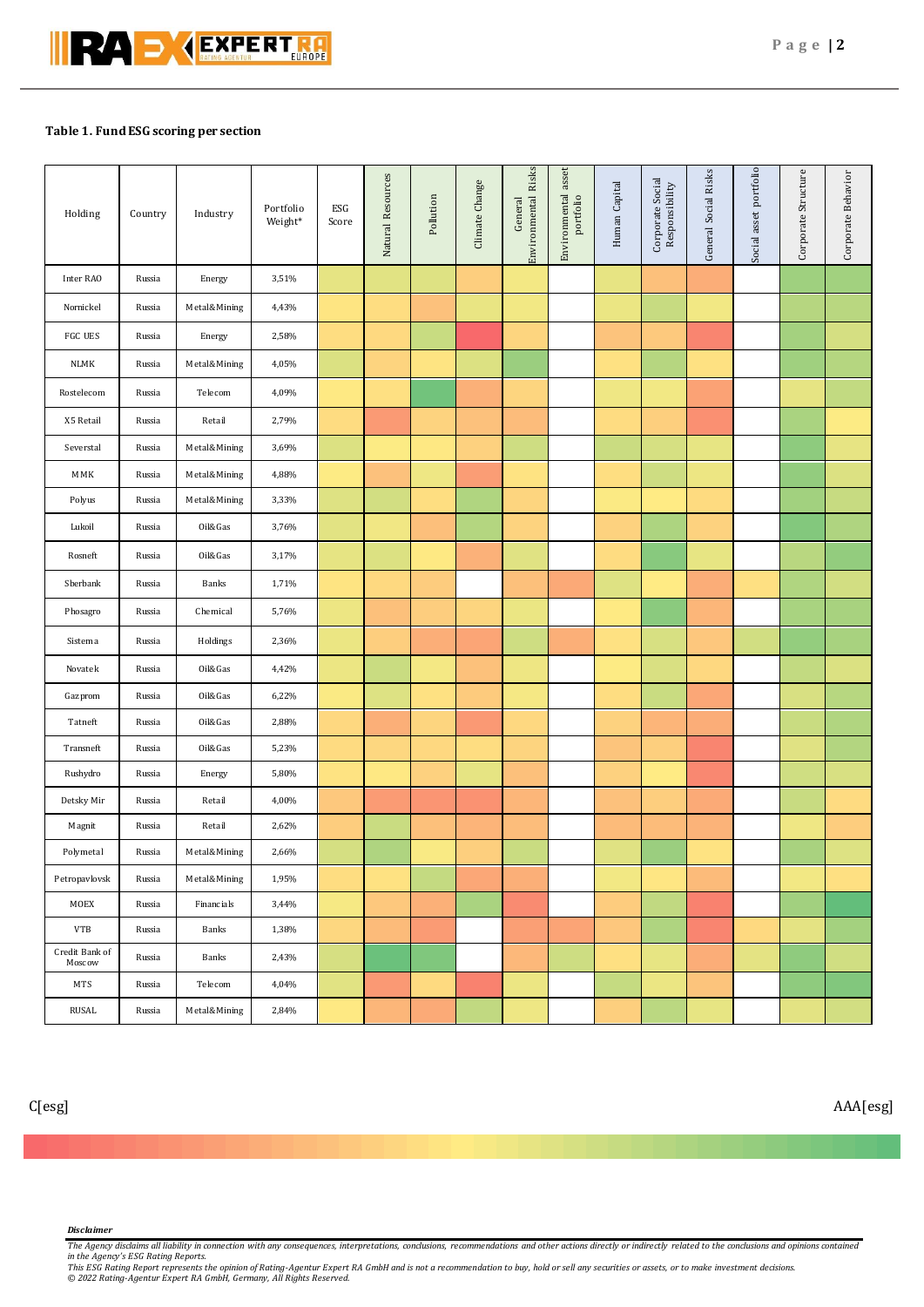### **Table 1. Fund ESG scoring per section**

| Holding                  | Country | Industry     | Portfolio<br>Weight* | ESG<br>Score | Natural Resources | Pollution | Climate Change | Environmental Risks<br>General | Environmental asset<br>portfolio | Human Capital | Corporate Social<br>Responsibility | General Social Risks | Social asset portfolio | Corporate Structure | Corporate Behavior |
|--------------------------|---------|--------------|----------------------|--------------|-------------------|-----------|----------------|--------------------------------|----------------------------------|---------------|------------------------------------|----------------------|------------------------|---------------------|--------------------|
| Inter RAO                | Russia  | Energy       | 3,51%                |              |                   |           |                |                                |                                  |               |                                    |                      |                        |                     |                    |
| Nornickel                | Russia  | Metal&Mining | 4,43%                |              |                   |           |                |                                |                                  |               |                                    |                      |                        |                     |                    |
| FGC UES                  | Russia  | Energy       | 2,58%                |              |                   |           |                |                                |                                  |               |                                    |                      |                        |                     |                    |
| <b>NLMK</b>              | Russia  | Metal&Mining | 4,05%                |              |                   |           |                |                                |                                  |               |                                    |                      |                        |                     |                    |
| Rostelecom               | Russia  | Telecom      | 4,09%                |              |                   |           |                |                                |                                  |               |                                    |                      |                        |                     |                    |
| X5 Retail                | Russia  | Retail       | 2,79%                |              |                   |           |                |                                |                                  |               |                                    |                      |                        |                     |                    |
| Severstal                | Russia  | Metal&Mining | 3,69%                |              |                   |           |                |                                |                                  |               |                                    |                      |                        |                     |                    |
| MMK                      | Russia  | Metal&Mining | 4,88%                |              |                   |           |                |                                |                                  |               |                                    |                      |                        |                     |                    |
| Polyus                   | Russia  | Metal&Mining | 3,33%                |              |                   |           |                |                                |                                  |               |                                    |                      |                        |                     |                    |
| Lukoil                   | Russia  | Oil&Gas      | 3,76%                |              |                   |           |                |                                |                                  |               |                                    |                      |                        |                     |                    |
| Rosneft                  | Russia  | Oil&Gas      | 3,17%                |              |                   |           |                |                                |                                  |               |                                    |                      |                        |                     |                    |
| Sberbank                 | Russia  | Banks        | 1,71%                |              |                   |           |                |                                |                                  |               |                                    |                      |                        |                     |                    |
| Phosagro                 | Russia  | Chemical     | 5,76%                |              |                   |           |                |                                |                                  |               |                                    |                      |                        |                     |                    |
| Sistema                  | Russia  | Holdings     | 2,36%                |              |                   |           |                |                                |                                  |               |                                    |                      |                        |                     |                    |
| Novatek                  | Russia  | Oil&Gas      | 4,42%                |              |                   |           |                |                                |                                  |               |                                    |                      |                        |                     |                    |
| Gazprom                  | Russia  | Oil&Gas      | 6,22%                |              |                   |           |                |                                |                                  |               |                                    |                      |                        |                     |                    |
| Tatneft                  | Russia  | Oil&Gas      | 2,88%                |              |                   |           |                |                                |                                  |               |                                    |                      |                        |                     |                    |
| Transneft                | Russia  | Oil&Gas      | 5,23%                |              |                   |           |                |                                |                                  |               |                                    |                      |                        |                     |                    |
| Rushydro                 | Russia  | Energy       | 5,80%                |              |                   |           |                |                                |                                  |               |                                    |                      |                        |                     |                    |
| Detsky Mir               | Russia  | Retail       | 4,00%                |              |                   |           |                |                                |                                  |               |                                    |                      |                        |                     |                    |
| Magnit                   | Russia  | Retail       | 2,62%                |              |                   |           |                |                                |                                  |               |                                    |                      |                        |                     |                    |
| Polymetal                | Russia  | Metal&Mining | 2,66%                |              |                   |           |                |                                |                                  |               |                                    |                      |                        |                     |                    |
| Petropavlovsk            | Russia  | Metal&Mining | 1,95%                |              |                   |           |                |                                |                                  |               |                                    |                      |                        |                     |                    |
| MOEX                     | Russia  | Financials   | 3,44%                |              |                   |           |                |                                |                                  |               |                                    |                      |                        |                     |                    |
| <b>VTB</b>               | Russia  | Banks        | 1,38%                |              |                   |           |                |                                |                                  |               |                                    |                      |                        |                     |                    |
| Credit Bank of<br>Moscow | Russia  | Banks        | 2,43%                |              |                   |           |                |                                |                                  |               |                                    |                      |                        |                     |                    |
| MTS                      | Russia  | Telecom      | 4,04%                |              |                   |           |                |                                |                                  |               |                                    |                      |                        |                     |                    |
| RUSAL                    | Russia  | Metal&Mining | 2,84%                |              |                   |           |                |                                |                                  |               |                                    |                      |                        |                     |                    |

C[esg] AAA[esg]

#### *Disclaimer*

The Agency disclaims all liability in connection with any consequences, interpretations, conclusions, recommendations and other actions directly or indirectly related to the conclusions and opinions contained<br>This ESG Rati